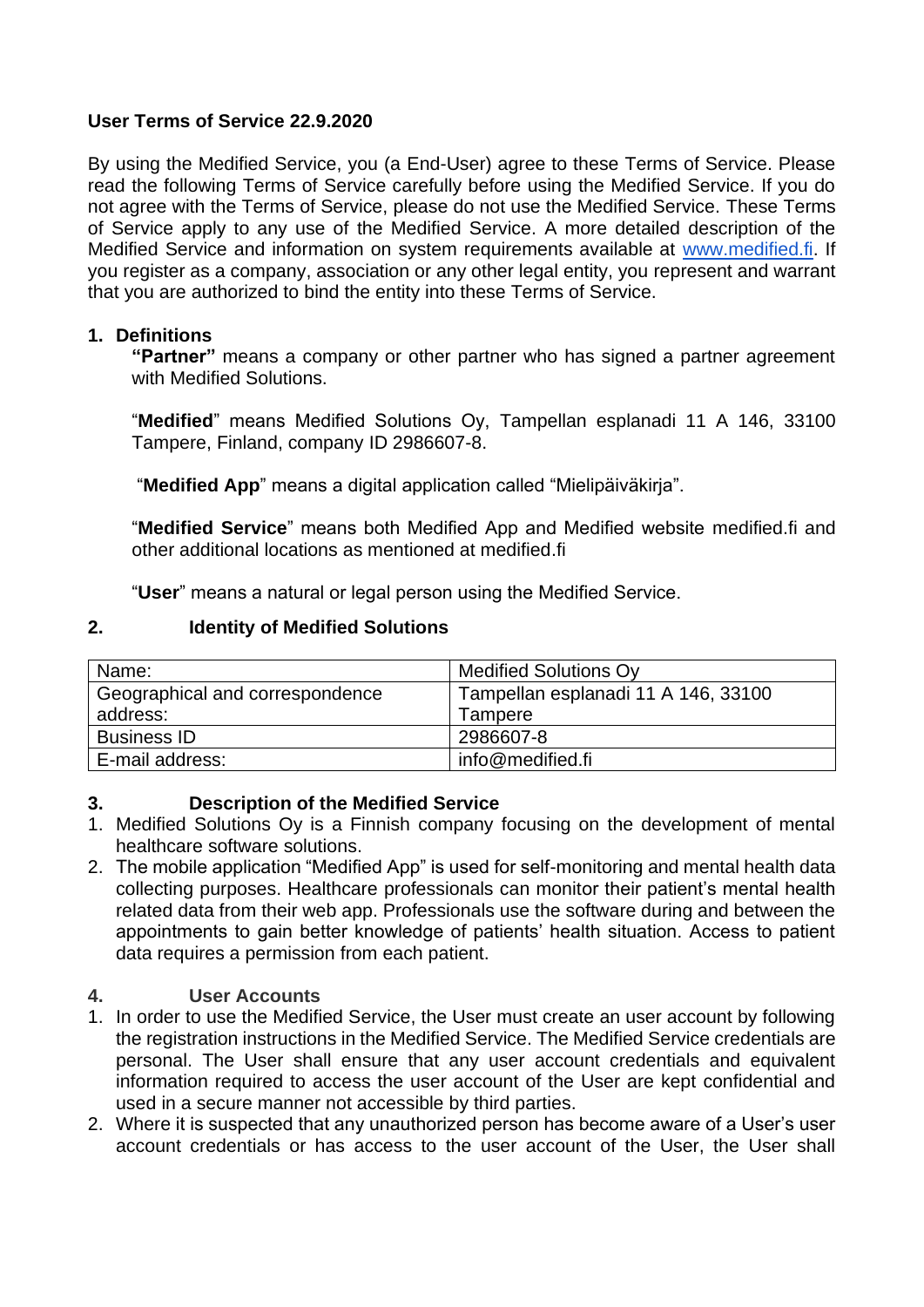### **User Terms of Service 22.9.2020**

By using the Medified Service, you (a End-User) agree to these Terms of Service. Please read the following Terms of Service carefully before using the Medified Service. If you do not agree with the Terms of Service, please do not use the Medified Service. These Terms of Service apply to any use of the Medified Service. A more detailed description of the Medified Service and information on system requirements available at [www.medified.fi.](http://www.medified.fi/) If you register as a company, association or any other legal entity, you represent and warrant that you are authorized to bind the entity into these Terms of Service.

#### **1. Definitions**

**"Partner"** means a company or other partner who has signed a partner agreement with Medified Solutions.

"**Medified**" means Medified Solutions Oy, Tampellan esplanadi 11 A 146, 33100 Tampere, Finland, company ID 2986607-8.

"**Medified App**" means a digital application called "Mielipäiväkirja".

"**Medified Service**" means both Medified App and Medified website medified.fi and other additional locations as mentioned at medified.fi

"**User**" means a natural or legal person using the Medified Service.

#### **2. Identity of Medified Solutions**

| Name:                           | <b>Medified Solutions Oy</b>        |
|---------------------------------|-------------------------------------|
| Geographical and correspondence | Tampellan esplanadi 11 A 146, 33100 |
| address:                        | Tampere                             |
| <b>Business ID</b>              | 2986607-8                           |
| E-mail address:                 | info@medified.fi                    |

#### **3. Description of the Medified Service**

- 1. Medified Solutions Oy is a Finnish company focusing on the development of mental healthcare software solutions.
- 2. The mobile application "Medified App" is used for self-monitoring and mental health data collecting purposes. Healthcare professionals can monitor their patient's mental health related data from their web app. Professionals use the software during and between the appointments to gain better knowledge of patients' health situation. Access to patient data requires a permission from each patient.

### **4. User Accounts**

- 1. In order to use the Medified Service, the User must create an user account by following the registration instructions in the Medified Service. The Medified Service credentials are personal. The User shall ensure that any user account credentials and equivalent information required to access the user account of the User are kept confidential and used in a secure manner not accessible by third parties.
- 2. Where it is suspected that any unauthorized person has become aware of a User's user account credentials or has access to the user account of the User, the User shall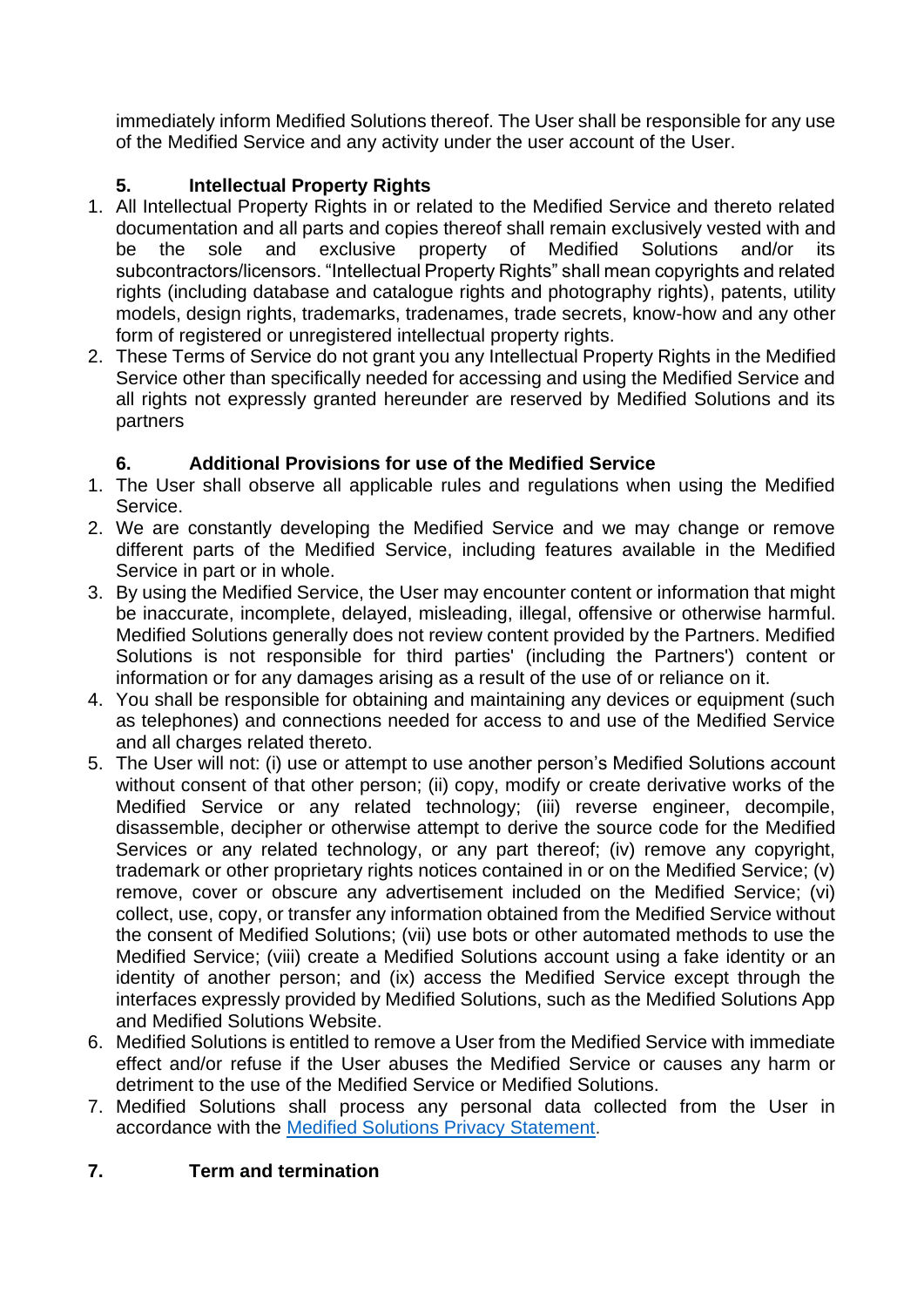immediately inform Medified Solutions thereof. The User shall be responsible for any use of the Medified Service and any activity under the user account of the User.

# **5. Intellectual Property Rights**

- 1. All Intellectual Property Rights in or related to the Medified Service and thereto related documentation and all parts and copies thereof shall remain exclusively vested with and be the sole and exclusive property of Medified Solutions and/or its subcontractors/licensors. "Intellectual Property Rights" shall mean copyrights and related rights (including database and catalogue rights and photography rights), patents, utility models, design rights, trademarks, tradenames, trade secrets, know-how and any other form of registered or unregistered intellectual property rights.
- 2. These Terms of Service do not grant you any Intellectual Property Rights in the Medified Service other than specifically needed for accessing and using the Medified Service and all rights not expressly granted hereunder are reserved by Medified Solutions and its partners

# **6. Additional Provisions for use of the Medified Service**

- 1. The User shall observe all applicable rules and regulations when using the Medified Service.
- 2. We are constantly developing the Medified Service and we may change or remove different parts of the Medified Service, including features available in the Medified Service in part or in whole.
- 3. By using the Medified Service, the User may encounter content or information that might be inaccurate, incomplete, delayed, misleading, illegal, offensive or otherwise harmful. Medified Solutions generally does not review content provided by the Partners. Medified Solutions is not responsible for third parties' (including the Partners') content or information or for any damages arising as a result of the use of or reliance on it.
- 4. You shall be responsible for obtaining and maintaining any devices or equipment (such as telephones) and connections needed for access to and use of the Medified Service and all charges related thereto.
- 5. The User will not: (i) use or attempt to use another person's Medified Solutions account without consent of that other person; (ii) copy, modify or create derivative works of the Medified Service or any related technology; (iii) reverse engineer, decompile, disassemble, decipher or otherwise attempt to derive the source code for the Medified Services or any related technology, or any part thereof; (iv) remove any copyright, trademark or other proprietary rights notices contained in or on the Medified Service; (v) remove, cover or obscure any advertisement included on the Medified Service; (vi) collect, use, copy, or transfer any information obtained from the Medified Service without the consent of Medified Solutions; (vii) use bots or other automated methods to use the Medified Service; (viii) create a Medified Solutions account using a fake identity or an identity of another person; and (ix) access the Medified Service except through the interfaces expressly provided by Medified Solutions, such as the Medified Solutions App and Medified Solutions Website.
- 6. Medified Solutions is entitled to remove a User from the Medified Service with immediate effect and/or refuse if the User abuses the Medified Service or causes any harm or detriment to the use of the Medified Service or Medified Solutions.
- 7. Medified Solutions shall process any personal data collected from the User in accordance with the [Medified Solutions Privacy Statement.](http://www.mefidied.fi/privacypolicy)

## **7. Term and termination**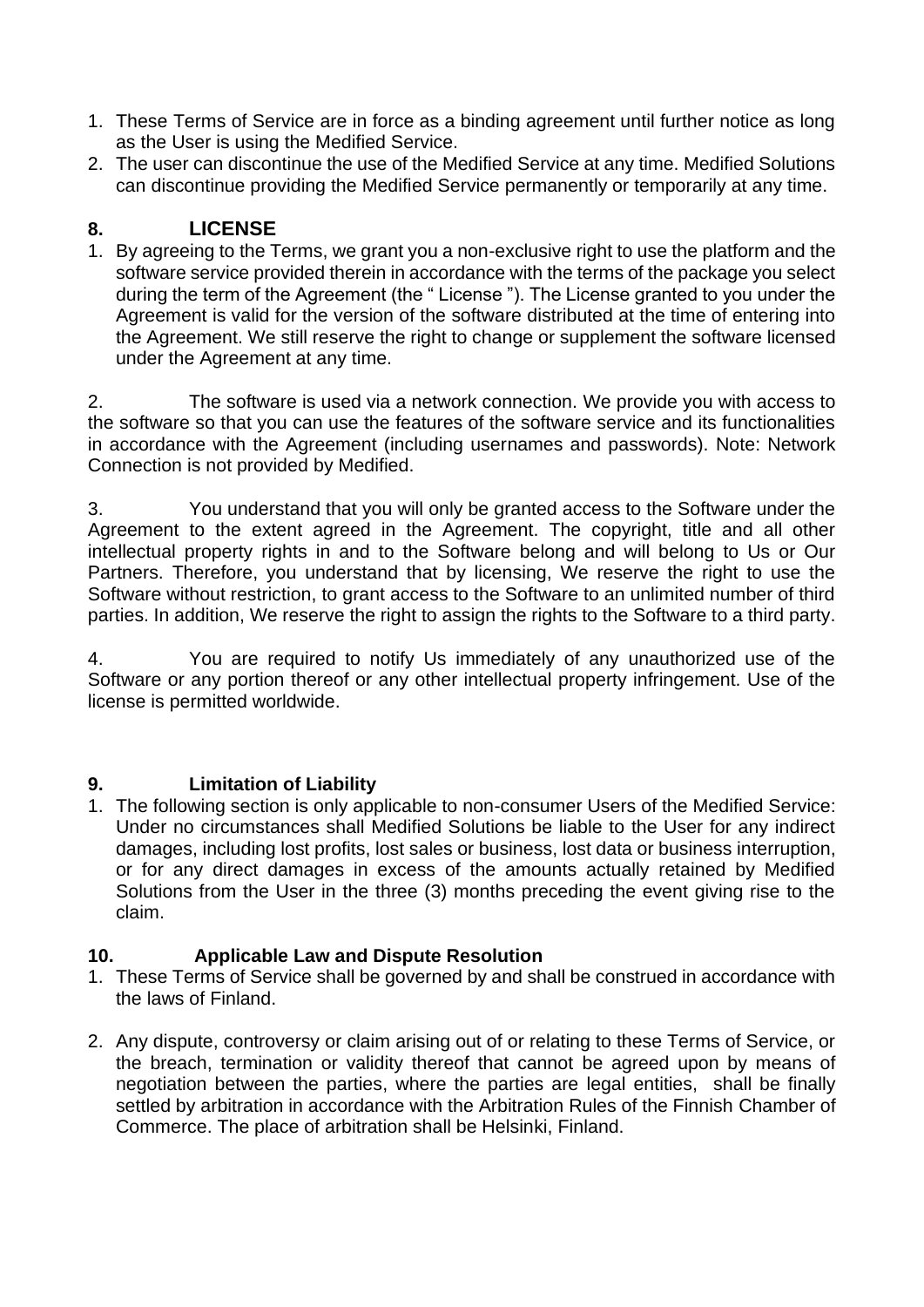- 1. These Terms of Service are in force as a binding agreement until further notice as long as the User is using the Medified Service.
- 2. The user can discontinue the use of the Medified Service at any time. Medified Solutions can discontinue providing the Medified Service permanently or temporarily at any time.

## **8. LICENSE**

1. By agreeing to the Terms, we grant you a non-exclusive right to use the platform and the software service provided therein in accordance with the terms of the package you select during the term of the Agreement (the " License "). The License granted to you under the Agreement is valid for the version of the software distributed at the time of entering into the Agreement. We still reserve the right to change or supplement the software licensed under the Agreement at any time.

2. The software is used via a network connection. We provide you with access to the software so that you can use the features of the software service and its functionalities in accordance with the Agreement (including usernames and passwords). Note: Network Connection is not provided by Medified.

3. You understand that you will only be granted access to the Software under the Agreement to the extent agreed in the Agreement. The copyright, title and all other intellectual property rights in and to the Software belong and will belong to Us or Our Partners. Therefore, you understand that by licensing, We reserve the right to use the Software without restriction, to grant access to the Software to an unlimited number of third parties. In addition, We reserve the right to assign the rights to the Software to a third party.

4. You are required to notify Us immediately of any unauthorized use of the Software or any portion thereof or any other intellectual property infringement. Use of the license is permitted worldwide.

## **9. Limitation of Liability**

1. The following section is only applicable to non-consumer Users of the Medified Service: Under no circumstances shall Medified Solutions be liable to the User for any indirect damages, including lost profits, lost sales or business, lost data or business interruption, or for any direct damages in excess of the amounts actually retained by Medified Solutions from the User in the three (3) months preceding the event giving rise to the claim.

### **10. Applicable Law and Dispute Resolution**

- 1. These Terms of Service shall be governed by and shall be construed in accordance with the laws of Finland.
- 2. Any dispute, controversy or claim arising out of or relating to these Terms of Service, or the breach, termination or validity thereof that cannot be agreed upon by means of negotiation between the parties, where the parties are legal entities, shall be finally settled by arbitration in accordance with the Arbitration Rules of the Finnish Chamber of Commerce. The place of arbitration shall be Helsinki, Finland.